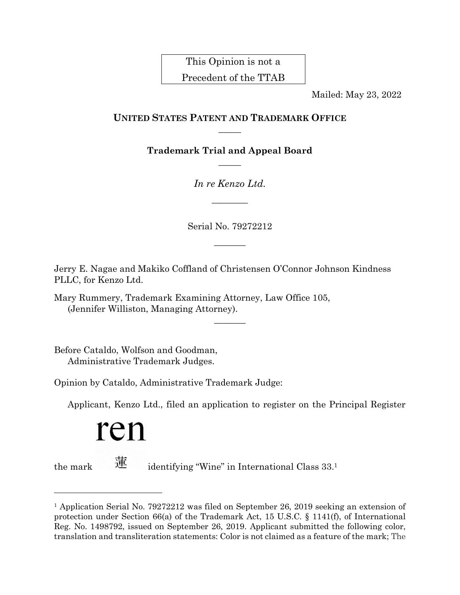This Opinion is not a Precedent of the TTAB

Mailed: May 23, 2022

## **UNITED STATES PATENT AND TRADEMARK OFFICE**  $\overline{\phantom{a}}$

**Trademark Trial and Appeal Board**  $\overline{\phantom{a}}$ 

*In re Kenzo Ltd.*

 $\overline{\phantom{a}}$ 

Serial No. 79272212

 $\frac{1}{2}$ 

 $\overline{\phantom{a}}$ 

Jerry E. Nagae and Makiko Coffland of Christensen O'Connor Johnson Kindness PLLC, for Kenzo Ltd.

Mary Rummery, Trademark Examining Attorney, Law Office 105, (Jennifer Williston, Managing Attorney).

Before Cataldo, Wolfson and Goodman, Administrative Trademark Judges.

Opinion by Cataldo, Administrative Trademark Judge:

Applicant, Kenzo Ltd., filed an application to register on the Principal Register

# ren

l

the mark  $\frac{1}{12}$  identifying "Wine" in International Class 33.

<sup>1</sup> Application Serial No. 79272212 was filed on September 26, 2019 seeking an extension of protection under Section 66(a) of the Trademark Act, 15 U.S.C. § 1141(f), of International Reg. No. 1498792, issued on September 26, 2019. Applicant submitted the following color, translation and transliteration statements: Color is not claimed as a feature of the mark; The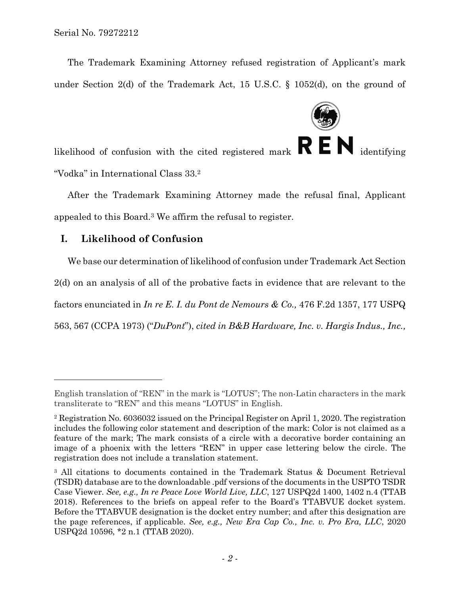The Trademark Examining Attorney refused registration of Applicant's mark under Section 2(d) of the Trademark Act, 15 U.S.C. § 1052(d), on the ground of



likelihood of confusion with the cited registered mark  $\mathbb{R} \mathbb{N}$  identifying "Vodka" in International Class 33. 2

After the Trademark Examining Attorney made the refusal final, Applicant appealed to this Board.<sup>3</sup> We affirm the refusal to register.

# **I. Likelihood of Confusion**

l

We base our determination of likelihood of confusion under Trademark Act Section 2(d) on an analysis of all of the probative facts in evidence that are relevant to the factors enunciated in *In re E. I. du Pont de Nemours & Co.,* 476 F.2d 1357, 177 USPQ 563, 567 (CCPA 1973) ("*DuPont*"), *cited in B&B Hardware, Inc. v. Hargis Indus., Inc.,* 

English translation of "REN" in the mark is "LOTUS"; The non-Latin characters in the mark transliterate to "REN" and this means "LOTUS" in English.

<sup>2</sup> Registration No. 6036032 issued on the Principal Register on April 1, 2020. The registration includes the following color statement and description of the mark: Color is not claimed as a feature of the mark; The mark consists of a circle with a decorative border containing an image of a phoenix with the letters "REN" in upper case lettering below the circle. The registration does not include a translation statement.

<sup>3</sup> All citations to documents contained in the Trademark Status & Document Retrieval (TSDR) database are to the downloadable .pdf versions of the documents in the USPTO TSDR Case Viewer. *See, e.g., In re Peace Love World Live, LLC*, 127 USPQ2d 1400, 1402 n.4 (TTAB 2018). References to the briefs on appeal refer to the Board's TTABVUE docket system. Before the TTABVUE designation is the docket entry number; and after this designation are the page references, if applicable. *See, e.g., New Era Cap Co., Inc. v. Pro Era, LLC*, 2020 USPQ2d 10596, \*2 n.1 (TTAB 2020).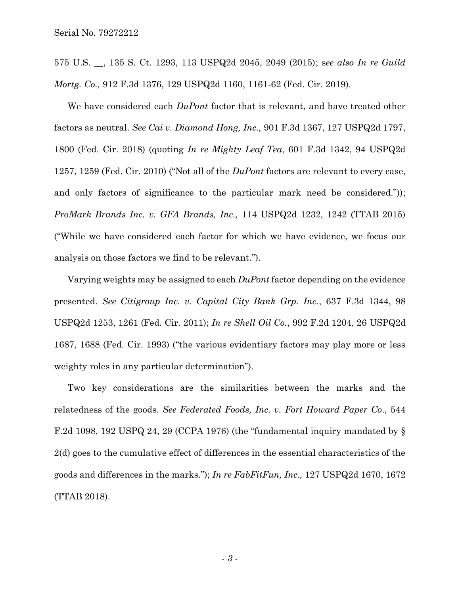575 U.S. \_\_, 135 S. Ct. 1293, 113 USPQ2d 2045, 2049 (2015); s*ee also In re Guild Mortg. Co.,* 912 F.3d 1376, 129 USPQ2d 1160, 1161-62 (Fed. Cir. 2019).

We have considered each *DuPont* factor that is relevant, and have treated other factors as neutral. *See Cai v. Diamond Hong, Inc.,* 901 F.3d 1367, 127 USPQ2d 1797, 1800 (Fed. Cir. 2018) (quoting *In re Mighty Leaf Tea*, 601 F.3d 1342, 94 USPQ2d 1257, 1259 (Fed. Cir. 2010) ("Not all of the *DuPont* factors are relevant to every case, and only factors of significance to the particular mark need be considered.")); *ProMark Brands Inc. v. GFA Brands, Inc.,* 114 USPQ2d 1232, 1242 (TTAB 2015) ("While we have considered each factor for which we have evidence, we focus our analysis on those factors we find to be relevant.").

Varying weights may be assigned to each *DuPont* factor depending on the evidence presented. *See Citigroup Inc. v. Capital City Bank Grp. Inc.*, 637 F.3d 1344, 98 USPQ2d 1253, 1261 (Fed. Cir. 2011); *In re Shell Oil Co.*, 992 F.2d 1204, 26 USPQ2d 1687, 1688 (Fed. Cir. 1993) ("the various evidentiary factors may play more or less weighty roles in any particular determination").

Two key considerations are the similarities between the marks and the relatedness of the goods. *See Federated Foods, Inc. v. Fort Howard Paper Co*., 544 F.2d 1098, 192 USPQ 24, 29 (CCPA 1976) (the "fundamental inquiry mandated by § 2(d) goes to the cumulative effect of differences in the essential characteristics of the goods and differences in the marks."); *In re FabFitFun, Inc.,* 127 USPQ2d 1670, 1672 (TTAB 2018).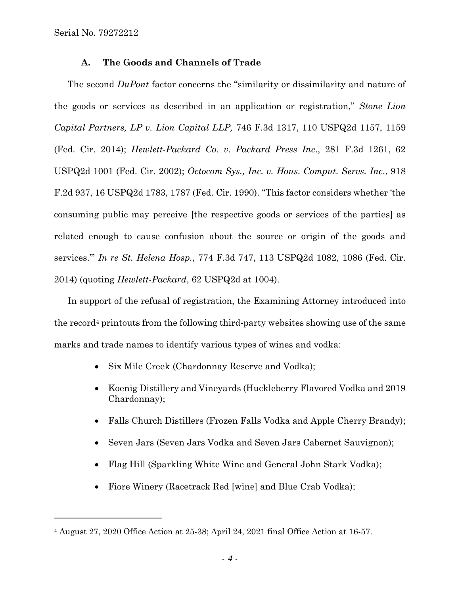l

### **A. The Goods and Channels of Trade**

The second *DuPont* factor concerns the "similarity or dissimilarity and nature of the goods or services as described in an application or registration," *Stone Lion Capital Partners, LP v. Lion Capital LLP,* 746 F.3d 1317, 110 USPQ2d 1157, 1159 (Fed. Cir. 2014); *Hewlett-Packard Co. v. Packard Press Inc*., 281 F.3d 1261, 62 USPQ2d 1001 (Fed. Cir. 2002); *Octocom Sys., Inc. v. Hous. Comput. Servs. Inc*., 918 F.2d 937, 16 USPQ2d 1783, 1787 (Fed. Cir. 1990). "This factor considers whether 'the consuming public may perceive [the respective goods or services of the parties] as related enough to cause confusion about the source or origin of the goods and services.'" *In re St. Helena Hosp.*, 774 F.3d 747, 113 USPQ2d 1082, 1086 (Fed. Cir. 2014) (quoting *Hewlett-Packard*, 62 USPQ2d at 1004).

In support of the refusal of registration, the Examining Attorney introduced into the record<sup>4</sup> printouts from the following third-party websites showing use of the same marks and trade names to identify various types of wines and vodka:

- Six Mile Creek (Chardonnay Reserve and Vodka);
- Koenig Distillery and Vineyards (Huckleberry Flavored Vodka and 2019 Chardonnay);
- Falls Church Distillers (Frozen Falls Vodka and Apple Cherry Brandy);
- Seven Jars (Seven Jars Vodka and Seven Jars Cabernet Sauvignon);
- Flag Hill (Sparkling White Wine and General John Stark Vodka);
- Fiore Winery (Racetrack Red [wine] and Blue Crab Vodka);

<sup>4</sup> August 27, 2020 Office Action at 25-38; April 24, 2021 final Office Action at 16-57.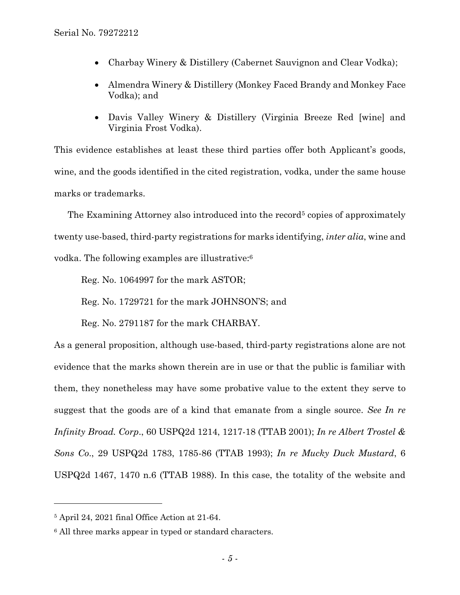- Charbay Winery & Distillery (Cabernet Sauvignon and Clear Vodka);
- Almendra Winery & Distillery (Monkey Faced Brandy and Monkey Face Vodka); and
- Davis Valley Winery & Distillery (Virginia Breeze Red [wine] and Virginia Frost Vodka).

This evidence establishes at least these third parties offer both Applicant's goods, wine, and the goods identified in the cited registration, vodka, under the same house marks or trademarks.

The Examining Attorney also introduced into the record<sup>5</sup> copies of approximately twenty use-based, third-party registrations for marks identifying, *inter alia*, wine and vodka. The following examples are illustrative:<sup>6</sup>

Reg. No. 1064997 for the mark ASTOR;

Reg. No. 1729721 for the mark JOHNSON'S; and

Reg. No. 2791187 for the mark CHARBAY.

As a general proposition, although use-based, third-party registrations alone are not evidence that the marks shown therein are in use or that the public is familiar with them, they nonetheless may have some probative value to the extent they serve to suggest that the goods are of a kind that emanate from a single source. *See In re Infinity Broad. Corp*., 60 USPQ2d 1214, 1217-18 (TTAB 2001); *In re Albert Trostel & Sons Co*., 29 USPQ2d 1783, 1785-86 (TTAB 1993); *In re Mucky Duck Mustard*, 6 USPQ2d 1467, 1470 n.6 (TTAB 1988). In this case, the totality of the website and

 $\overline{a}$ 

<sup>5</sup> April 24, 2021 final Office Action at 21-64.

<sup>&</sup>lt;sup>6</sup> All three marks appear in typed or standard characters.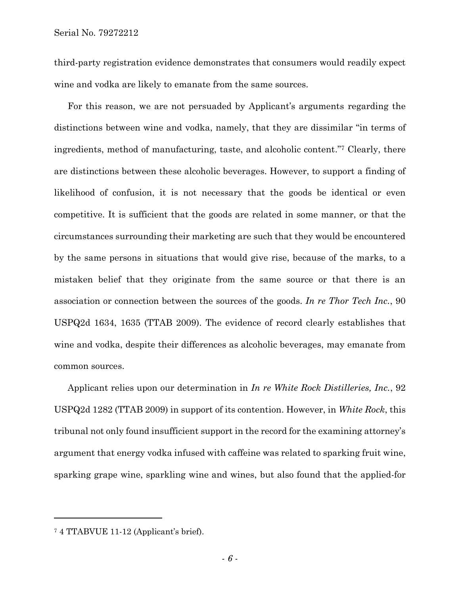third-party registration evidence demonstrates that consumers would readily expect wine and vodka are likely to emanate from the same sources.

For this reason, we are not persuaded by Applicant's arguments regarding the distinctions between wine and vodka, namely, that they are dissimilar "in terms of ingredients, method of manufacturing, taste, and alcoholic content." <sup>7</sup> Clearly, there are distinctions between these alcoholic beverages. However, to support a finding of likelihood of confusion, it is not necessary that the goods be identical or even competitive. It is sufficient that the goods are related in some manner, or that the circumstances surrounding their marketing are such that they would be encountered by the same persons in situations that would give rise, because of the marks, to a mistaken belief that they originate from the same source or that there is an association or connection between the sources of the goods. *In re Thor Tech Inc.*, 90 USPQ2d 1634, 1635 (TTAB 2009). The evidence of record clearly establishes that wine and vodka, despite their differences as alcoholic beverages, may emanate from common sources.

Applicant relies upon our determination in *In re White Rock Distilleries, Inc.*, 92 USPQ2d 1282 (TTAB 2009) in support of its contention. However, in *White Rock*, this tribunal not only found insufficient support in the record for the examining attorney's argument that energy vodka infused with caffeine was related to sparking fruit wine, sparking grape wine, sparkling wine and wines, but also found that the applied-for

<sup>7</sup> 4 TTABVUE 11-12 (Applicant's brief).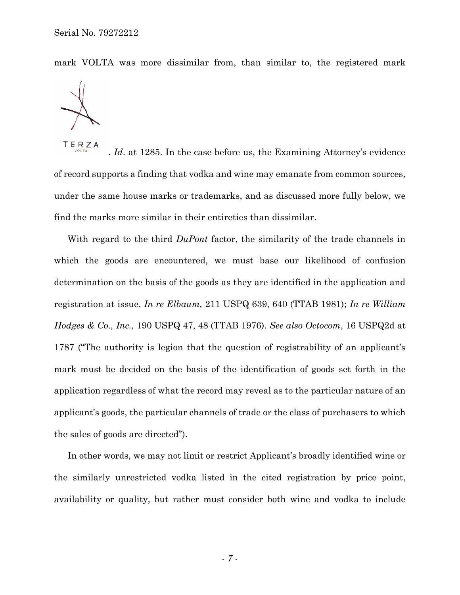mark VOLTA was more dissimilar from, than similar to, the registered mark



TERZA . *Id*. at 1285. In the case before us, the Examining Attorney's evidence of record supports a finding that vodka and wine may emanate from common sources, under the same house marks or trademarks, and as discussed more fully below, we find the marks more similar in their entireties than dissimilar.

With regard to the third *DuPont* factor, the similarity of the trade channels in which the goods are encountered, we must base our likelihood of confusion determination on the basis of the goods as they are identified in the application and registration at issue. *In re Elbaum,* 211 USPQ 639, 640 (TTAB 1981); *In re William Hodges & Co., Inc.,* 190 USPQ 47, 48 (TTAB 1976). *See also Octocom*, 16 USPQ2d at 1787 ("The authority is legion that the question of registrability of an applicant's mark must be decided on the basis of the identification of goods set forth in the application regardless of what the record may reveal as to the particular nature of an applicant's goods, the particular channels of trade or the class of purchasers to which the sales of goods are directed").

In other words, we may not limit or restrict Applicant's broadly identified wine or the similarly unrestricted vodka listed in the cited registration by price point, availability or quality, but rather must consider both wine and vodka to include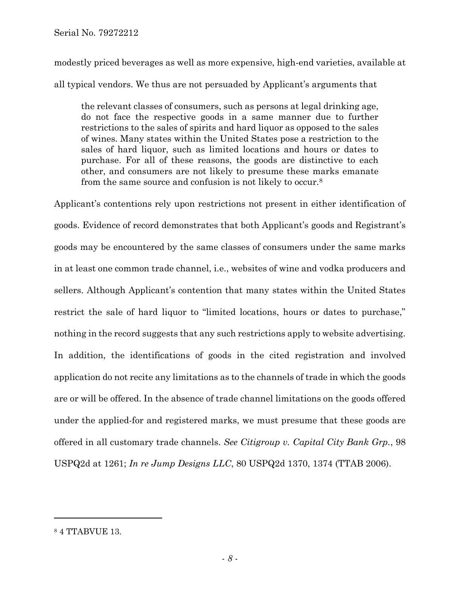modestly priced beverages as well as more expensive, high-end varieties, available at all typical vendors. We thus are not persuaded by Applicant's arguments that

the relevant classes of consumers, such as persons at legal drinking age, do not face the respective goods in a same manner due to further restrictions to the sales of spirits and hard liquor as opposed to the sales of wines. Many states within the United States pose a restriction to the sales of hard liquor, such as limited locations and hours or dates to purchase. For all of these reasons, the goods are distinctive to each other, and consumers are not likely to presume these marks emanate from the same source and confusion is not likely to occur.<sup>8</sup>

Applicant's contentions rely upon restrictions not present in either identification of goods. Evidence of record demonstrates that both Applicant's goods and Registrant's goods may be encountered by the same classes of consumers under the same marks in at least one common trade channel, i.e., websites of wine and vodka producers and sellers. Although Applicant's contention that many states within the United States restrict the sale of hard liquor to "limited locations, hours or dates to purchase," nothing in the record suggests that any such restrictions apply to website advertising. In addition, the identifications of goods in the cited registration and involved application do not recite any limitations as to the channels of trade in which the goods are or will be offered. In the absence of trade channel limitations on the goods offered under the applied-for and registered marks, we must presume that these goods are offered in all customary trade channels. *See Citigroup v. Capital City Bank Grp.*, 98 USPQ2d at 1261; *In re Jump Designs LLC*, 80 USPQ2d 1370, 1374 (TTAB 2006).

<sup>8</sup> 4 TTABVUE 13.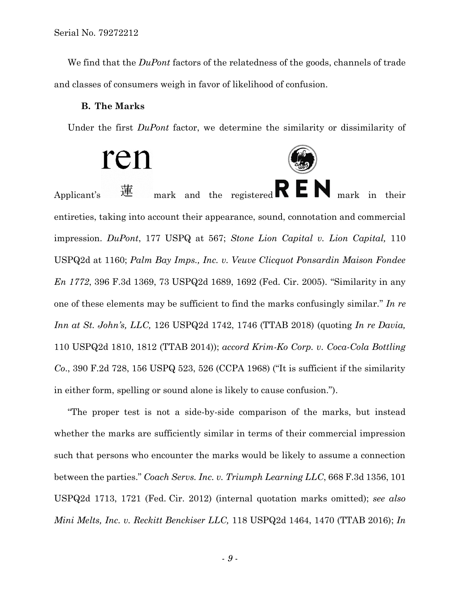We find that the *DuPont* factors of the relatedness of the goods, channels of trade and classes of consumers weigh in favor of likelihood of confusion.

#### **B. The Marks**

Under the first *DuPont* factor, we determine the similarity or dissimilarity of

ren Applicant's  $\mathbb{E}$  mark and the registered  $\mathbf{K} \mathbf{E} \mathbf{N}$  mark in their entireties, taking into account their appearance, sound, connotation and commercial impression. *DuPont*, 177 USPQ at 567; *Stone Lion Capital v. Lion Capital,* 110 USPQ2d at 1160; *Palm Bay Imps., Inc. v. Veuve Clicquot Ponsardin Maison Fondee En 1772*, 396 F.3d 1369, 73 USPQ2d 1689, 1692 (Fed. Cir. 2005). "Similarity in any one of these elements may be sufficient to find the marks confusingly similar." *In re Inn at St. John's, LLC,* 126 USPQ2d 1742, 1746 (TTAB 2018) (quoting *In re Davia,* 110 USPQ2d 1810, 1812 (TTAB 2014)); *accord Krim-Ko Corp. v. Coca-Cola Bottling Co*., 390 F.2d 728, 156 USPQ 523, 526 (CCPA 1968) ("It is sufficient if the similarity in either form, spelling or sound alone is likely to cause confusion.").

"The proper test is not a side-by-side comparison of the marks, but instead whether the marks are sufficiently similar in terms of their commercial impression such that persons who encounter the marks would be likely to assume a connection between the parties." *Coach Servs. Inc. v. Triumph Learning LLC*, 668 F.3d 1356, 101 USPQ2d 1713, 1721 (Fed. Cir. 2012) (internal quotation marks omitted); *see also Mini Melts, Inc. v. Reckitt Benckiser LLC,* 118 USPQ2d 1464, 1470 (TTAB 2016); *In*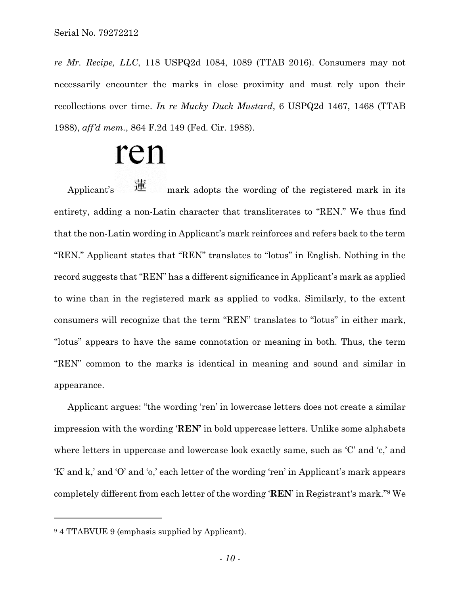*re Mr. Recipe, LLC*, 118 USPQ2d 1084, 1089 (TTAB 2016). Consumers may not necessarily encounter the marks in close proximity and must rely upon their recollections over time. *In re Mucky Duck Mustard*, 6 USPQ2d 1467, 1468 (TTAB 1988), *aff'd mem.*, 864 F.2d 149 (Fed. Cir. 1988).

# ren

Applicant's  $\mathbb{H}$  mark adopts the wording of the registered mark in its entirety, adding a non-Latin character that transliterates to "REN." We thus find that the non-Latin wording in Applicant's mark reinforces and refers back to the term "REN." Applicant states that "REN" translates to "lotus" in English. Nothing in the record suggests that "REN" has a different significance in Applicant's mark as applied to wine than in the registered mark as applied to vodka. Similarly, to the extent consumers will recognize that the term "REN" translates to "lotus" in either mark, "lotus" appears to have the same connotation or meaning in both. Thus, the term "REN" common to the marks is identical in meaning and sound and similar in appearance.

Applicant argues: "the wording 'ren' in lowercase letters does not create a similar impression with the wording '**REN'** in bold uppercase letters. Unlike some alphabets where letters in uppercase and lowercase look exactly same, such as 'C' and 'c,' and 'K' and k,' and 'O' and 'o,' each letter of the wording 'ren' in Applicant's mark appears completely different from each letter of the wording '**REN**' in Registrant's mark." <sup>9</sup> We

<sup>9</sup> 4 TTABVUE 9 (emphasis supplied by Applicant).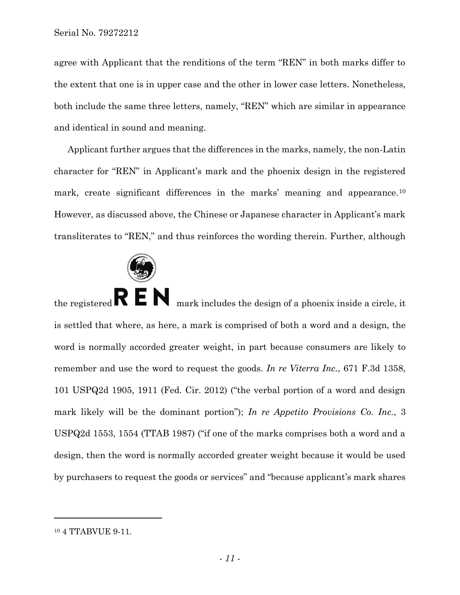agree with Applicant that the renditions of the term "REN" in both marks differ to the extent that one is in upper case and the other in lower case letters. Nonetheless, both include the same three letters, namely, "REN" which are similar in appearance and identical in sound and meaning.

Applicant further argues that the differences in the marks, namely, the non-Latin character for "REN" in Applicant's mark and the phoenix design in the registered mark, create significant differences in the marks' meaning and appearance.<sup>10</sup> However, as discussed above, the Chinese or Japanese character in Applicant's mark transliterates to "REN," and thus reinforces the wording therein. Further, although



the registered  $\mathbf{R} \in \mathbb{N}$  mark includes the design of a phoenix inside a circle, it is settled that where, as here, a mark is comprised of both a word and a design, the word is normally accorded greater weight, in part because consumers are likely to remember and use the word to request the goods. *In re Viterra Inc.*, 671 F.3d 1358, 101 USPQ2d 1905, 1911 (Fed. Cir. 2012) ("the verbal portion of a word and design mark likely will be the dominant portion"); *In re Appetito Provisions Co. Inc.*, 3 USPQ2d 1553, 1554 (TTAB 1987) ("if one of the marks comprises both a word and a design, then the word is normally accorded greater weight because it would be used by purchasers to request the goods or services" and "because applicant's mark shares

<sup>&</sup>lt;sup>10</sup> 4 TTABVUE 9-11.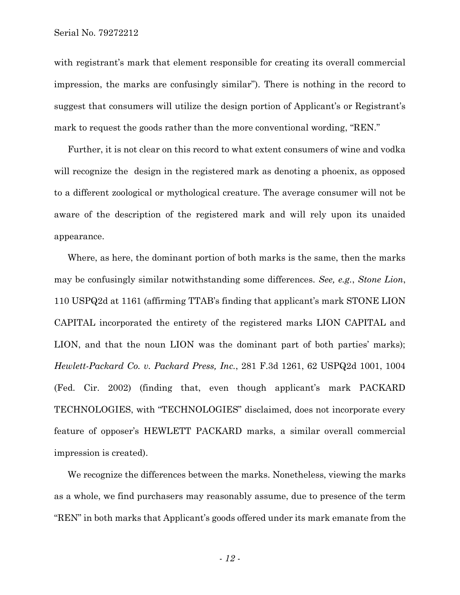with registrant's mark that element responsible for creating its overall commercial impression, the marks are confusingly similar"). There is nothing in the record to suggest that consumers will utilize the design portion of Applicant's or Registrant's mark to request the goods rather than the more conventional wording, "REN."

Further, it is not clear on this record to what extent consumers of wine and vodka will recognize the design in the registered mark as denoting a phoenix, as opposed to a different zoological or mythological creature. The average consumer will not be aware of the description of the registered mark and will rely upon its unaided appearance.

Where, as here, the dominant portion of both marks is the same, then the marks may be confusingly similar notwithstanding some differences. *See, e.g.*, *Stone Lion*, 110 USPQ2d at 1161 (affirming TTAB's finding that applicant's mark STONE LION CAPITAL incorporated the entirety of the registered marks LION CAPITAL and LION, and that the noun LION was the dominant part of both parties' marks); *Hewlett-Packard Co. v. Packard Press, Inc.*, 281 F.3d 1261, 62 USPQ2d 1001, 1004 (Fed. Cir. 2002) (finding that, even though applicant's mark PACKARD TECHNOLOGIES, with "TECHNOLOGIES" disclaimed, does not incorporate every feature of opposer's HEWLETT PACKARD marks, a similar overall commercial impression is created).

We recognize the differences between the marks. Nonetheless, viewing the marks as a whole, we find purchasers may reasonably assume, due to presence of the term "REN" in both marks that Applicant's goods offered under its mark emanate from the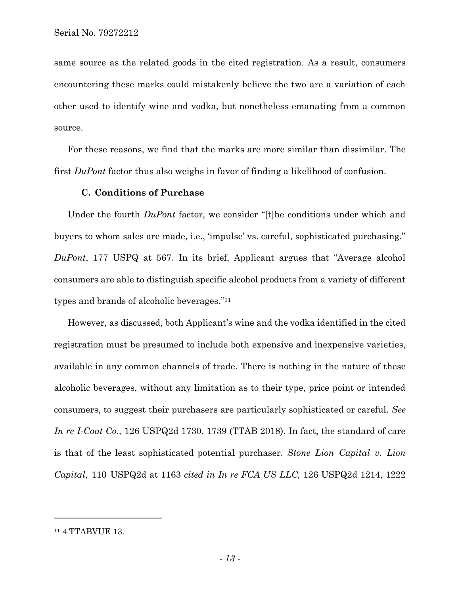same source as the related goods in the cited registration. As a result, consumers encountering these marks could mistakenly believe the two are a variation of each other used to identify wine and vodka, but nonetheless emanating from a common source.

For these reasons, we find that the marks are more similar than dissimilar. The first *DuPont* factor thus also weighs in favor of finding a likelihood of confusion.

### **C. Conditions of Purchase**

Under the fourth *DuPont* factor, we consider "[t]he conditions under which and buyers to whom sales are made, i.e., 'impulse' vs. careful, sophisticated purchasing." *DuPont*, 177 USPQ at 567. In its brief, Applicant argues that "Average alcohol consumers are able to distinguish specific alcohol products from a variety of different types and brands of alcoholic beverages." 11

However, as discussed, both Applicant's wine and the vodka identified in the cited registration must be presumed to include both expensive and inexpensive varieties, available in any common channels of trade. There is nothing in the nature of these alcoholic beverages, without any limitation as to their type, price point or intended consumers, to suggest their purchasers are particularly sophisticated or careful. *See In re I-Coat Co.,* 126 USPQ2d 1730, 1739 (TTAB 2018). In fact, the standard of care is that of the least sophisticated potential purchaser. *Stone Lion Capital v. Lion Capital*, 110 USPQ2d at 1163 *cited in In re FCA US LLC,* 126 USPQ2d 1214, 1222

<sup>11</sup> 4 TTABVUE 13.